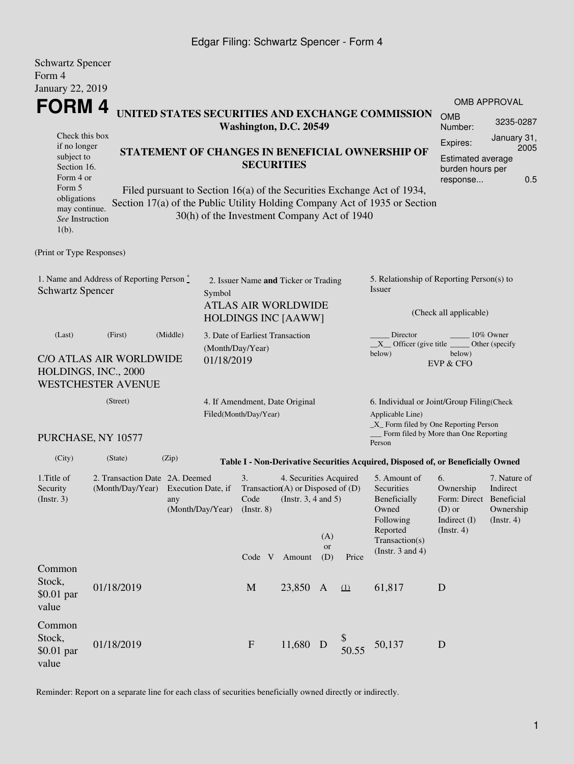## Edgar Filing: Schwartz Spencer - Form 4

| <b>Schwartz Spencer</b>                                                       |                                                                                                                                                  |                            |                                                                                                                          |                                                                    |                                                                                                           |                  |           |                                                                                                                                                       |                                                                                             |                                                           |  |
|-------------------------------------------------------------------------------|--------------------------------------------------------------------------------------------------------------------------------------------------|----------------------------|--------------------------------------------------------------------------------------------------------------------------|--------------------------------------------------------------------|-----------------------------------------------------------------------------------------------------------|------------------|-----------|-------------------------------------------------------------------------------------------------------------------------------------------------------|---------------------------------------------------------------------------------------------|-----------------------------------------------------------|--|
| Form 4                                                                        |                                                                                                                                                  |                            |                                                                                                                          |                                                                    |                                                                                                           |                  |           |                                                                                                                                                       |                                                                                             |                                                           |  |
| <b>January 22, 2019</b>                                                       |                                                                                                                                                  |                            |                                                                                                                          |                                                                    |                                                                                                           |                  |           |                                                                                                                                                       |                                                                                             |                                                           |  |
| FORM 4                                                                        |                                                                                                                                                  |                            |                                                                                                                          |                                                                    |                                                                                                           |                  |           | UNITED STATES SECURITIES AND EXCHANGE COMMISSION                                                                                                      |                                                                                             | <b>OMB APPROVAL</b>                                       |  |
|                                                                               |                                                                                                                                                  |                            |                                                                                                                          | Washington, D.C. 20549                                             |                                                                                                           |                  |           |                                                                                                                                                       | <b>OMB</b><br>Number:                                                                       | 3235-0287                                                 |  |
|                                                                               | Check this box<br>if no longer<br>STATEMENT OF CHANGES IN BENEFICIAL OWNERSHIP OF<br>subject to<br><b>SECURITIES</b><br>Section 16.<br>Form 4 or |                            |                                                                                                                          |                                                                    |                                                                                                           |                  |           |                                                                                                                                                       | January 31,<br>Expires:<br>2005<br>Estimated average<br>burden hours per<br>0.5<br>response |                                                           |  |
| Form 5<br>obligations<br>may continue.<br>See Instruction<br>$1(b)$ .         |                                                                                                                                                  |                            |                                                                                                                          | 30(h) of the Investment Company Act of 1940                        |                                                                                                           |                  |           | Filed pursuant to Section 16(a) of the Securities Exchange Act of 1934,<br>Section 17(a) of the Public Utility Holding Company Act of 1935 or Section |                                                                                             |                                                           |  |
| (Print or Type Responses)                                                     |                                                                                                                                                  |                            |                                                                                                                          |                                                                    |                                                                                                           |                  |           |                                                                                                                                                       |                                                                                             |                                                           |  |
| 1. Name and Address of Reporting Person*<br><b>Schwartz Spencer</b><br>Symbol |                                                                                                                                                  |                            |                                                                                                                          | 2. Issuer Name and Ticker or Trading<br><b>ATLAS AIR WORLDWIDE</b> |                                                                                                           |                  |           | 5. Relationship of Reporting Person(s) to<br>Issuer                                                                                                   |                                                                                             |                                                           |  |
|                                                                               |                                                                                                                                                  | <b>HOLDINGS INC [AAWW]</b> |                                                                                                                          |                                                                    |                                                                                                           |                  |           |                                                                                                                                                       | (Check all applicable)                                                                      |                                                           |  |
| (Middle)<br>(First)<br>(Last)                                                 |                                                                                                                                                  |                            |                                                                                                                          | 3. Date of Earliest Transaction<br>(Month/Day/Year)                |                                                                                                           |                  |           | Director<br>10% Owner<br>$X$ Officer (give title<br>Other (specify<br>below)<br>below)                                                                |                                                                                             |                                                           |  |
|                                                                               | C/O ATLAS AIR WORLDWIDE<br>HOLDINGS, INC., 2000<br><b>WESTCHESTER AVENUE</b>                                                                     |                            | 01/18/2019                                                                                                               |                                                                    |                                                                                                           |                  |           |                                                                                                                                                       | <b>EVP &amp; CFO</b>                                                                        |                                                           |  |
|                                                                               | 4. If Amendment, Date Original<br>Filed(Month/Day/Year)                                                                                          |                            |                                                                                                                          |                                                                    | 6. Individual or Joint/Group Filing(Check<br>Applicable Line)<br>$\_X$ Form filed by One Reporting Person |                  |           |                                                                                                                                                       |                                                                                             |                                                           |  |
|                                                                               | PURCHASE, NY 10577                                                                                                                               |                            |                                                                                                                          |                                                                    |                                                                                                           |                  |           | Form filed by More than One Reporting<br>Person                                                                                                       |                                                                                             |                                                           |  |
| (City)                                                                        | (State)                                                                                                                                          | (Zip)                      |                                                                                                                          |                                                                    |                                                                                                           |                  |           | Table I - Non-Derivative Securities Acquired, Disposed of, or Beneficially Owned                                                                      |                                                                                             |                                                           |  |
| 1. Title of<br>Security<br>(Insert. 3)                                        | 2. Transaction Date 2A. Deemed<br>(Month/Day/Year) Execution Date, if<br>any<br>(Month/Day/Year)                                                 |                            | 3.<br>4. Securities Acquired<br>Transaction(A) or Disposed of (D)<br>Code<br>(Instr. $3, 4$ and $5$ )<br>$($ Instr. $8)$ |                                                                    |                                                                                                           |                  |           | 5. Amount of<br>Securities<br>Beneficially<br>Owned<br>Following<br>Reported                                                                          | 6.<br>Ownership<br>Form: Direct Beneficial<br>$(D)$ or<br>Indirect (I)<br>$($ Instr. 4 $)$  | 7. Nature of<br>Indirect<br>Ownership<br>$($ Instr. 4 $)$ |  |
|                                                                               |                                                                                                                                                  |                            |                                                                                                                          | Code V Amount                                                      |                                                                                                           | (A)<br>or<br>(D) | Price     | Transaction(s)<br>(Instr. $3$ and $4$ )                                                                                                               |                                                                                             |                                                           |  |
| Common<br>Stock,<br>$$0.01$ par<br>value                                      | 01/18/2019                                                                                                                                       |                            |                                                                                                                          | M                                                                  | 23,850 A                                                                                                  |                  | $\Omega$  | 61,817                                                                                                                                                | D                                                                                           |                                                           |  |
| Common<br>Stock,<br>\$0.01 par<br>value                                       | 01/18/2019                                                                                                                                       |                            |                                                                                                                          | $\mathbf F$                                                        | 11,680 D                                                                                                  |                  | $$$ 50.55 | 50,137                                                                                                                                                | D                                                                                           |                                                           |  |

Reminder: Report on a separate line for each class of securities beneficially owned directly or indirectly.